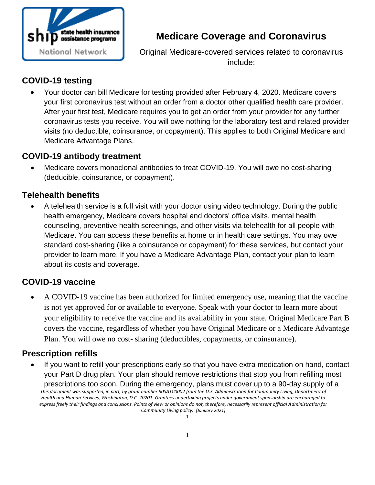

# **Medicare Coverage and Coronavirus**

Original Medicare-covered services related to coronavirus include:

# **COVID-19 testing**

 Your doctor can bill Medicare for testing provided after February 4, 2020. Medicare covers your first coronavirus test without an order from a doctor other qualified health care provider. After your first test, Medicare requires you to get an order from your provider for any further coronavirus tests you receive. You will owe nothing for the laboratory test and related provider visits (no deductible, coinsurance, or copayment). This applies to both Original Medicare and Medicare Advantage Plans.

#### **COVID-19 antibody treatment**

 Medicare covers monoclonal antibodies to treat COVID-19. You will owe no cost-sharing (deducible, coinsurance, or copayment).

### **Telehealth benefits**

 A telehealth service is a full visit with your doctor using video technology. During the public health emergency, Medicare covers hospital and doctors' office visits, mental health counseling, preventive health screenings, and other visits via telehealth for all people with Medicare. You can access these benefits at home or in health care settings. You may owe standard cost-sharing (like a coinsurance or copayment) for these services, but contact your provider to learn more. If you have a Medicare Advantage Plan, contact your plan to learn about its costs and coverage.

# **COVID-19 vaccine**

 A COVID-19 vaccine has been authorized for limited emergency use, meaning that the vaccine is not yet approved for or available to everyone. Speak with your doctor to learn more about your eligibility to receive the vaccine and its availability in your state. Original Medicare Part B covers the vaccine, regardless of whether you have Original Medicare or a Medicare Advantage Plan. You will owe no cost- sharing (deductibles, copayments, or coinsurance).

# **Prescription refills**

*This document was supported, in part, by grant number 90SATC0002 from the U.S. Administration for Community Living, Department of Health and Human Services, Washington, D.C. 20201. Grantees undertaking projects under government sponsorship are encouraged to express freely their findings and conclusions. Points of view or opinions do not, therefore, necessarily represent official Administration for Community Living policy. [January 2021]* If you want to refill your prescriptions early so that you have extra medication on hand, contact your Part D drug plan. Your plan should remove restrictions that stop you from refilling most prescriptions too soon. During the emergency, plans must cover up to a 90-day supply of a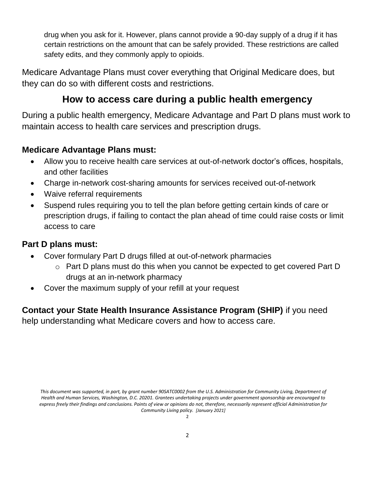drug when you ask for it. However, plans cannot provide a 90-day supply of a drug if it has certain restrictions on the amount that can be safely provided. These restrictions are called safety edits, and they commonly apply to opioids.

Medicare Advantage Plans must cover everything that Original Medicare does, but they can do so with different costs and restrictions.

# **How to access care during a public health emergency**

During a public health emergency, Medicare Advantage and Part D plans must work to maintain access to health care services and prescription drugs.

#### **Medicare Advantage Plans must:**

- Allow you to receive health care services at out-of-network doctor's offices, hospitals, and other facilities
- Charge in-network cost-sharing amounts for services received out-of-network
- Waive referral requirements
- Suspend rules requiring you to tell the plan before getting certain kinds of care or prescription drugs, if failing to contact the plan ahead of time could raise costs or limit access to care

#### **Part D plans must:**

- Cover formulary Part D drugs filled at out-of-network pharmacies
	- o Part D plans must do this when you cannot be expected to get covered Part D drugs at an in-network pharmacy
- Cover the maximum supply of your refill at your request

**Contact your State Health Insurance Assistance Program (SHIP)** if you need help understanding what Medicare covers and how to access care.

*This document was supported, in part, by grant number 90SATC0002 from the U.S. Administration for Community Living, Department of Health and Human Services, Washington, D.C. 20201. Grantees undertaking projects under government sponsorship are encouraged to express freely their findings and conclusions. Points of view or opinions do not, therefore, necessarily represent official Administration for Community Living policy. [January 2021]*